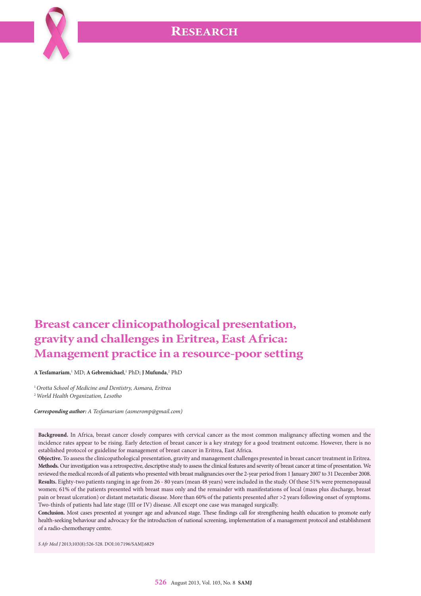

# **Breast cancer clinicopathological presentation, gravity and challenges in Eritrea, East Africa: Management practice in a resource-poor setting**

**A Tesfamariam**, 1 MD; **A Gebremichael**, 1 PhD; **J Mufunda**, 2 PhD

<sup>1</sup>*Orotta School of Medicine and Dentistry, Asmara, Eritrea* <sup>2</sup>*World Health Organization, Lesotho*

*Corresponding author: A Tesfamariam [\(asmeromp@gmail.com\)](mailto:asmeromp@gmail.com)*

**Background.** In Africa, breast cancer closely compares with cervical cancer as the most common malignancy affecting women and the incidence rates appear to be rising. Early detection of breast cancer is a key strategy for a good treatment outcome. However, there is no established protocol or guideline for management of breast cancer in Eritrea, East Africa.

**Objective.** To assess the clinicopathological presentation, gravity and management challenges presented in breast cancer treatment in Eritrea. **Methods.** Our investigation was a retrospective, descriptive study to assess the clinical features and severity of breast cancer at time of presentation. We reviewed the medical records of all patients who presented with breast malignancies over the 2-year period from 1 January 2007 to 31 December 2008. **Results.** Eighty-two patients ranging in age from 26 - 80 years (mean 48 years) were included in the study. Of these 51% were premenopausal women; 61% of the patients presented with breast mass only and the remainder with manifestations of local (mass plus discharge, breast pain or breast ulceration) or distant metastatic disease. More than 60% of the patients presented after >2 years following onset of symptoms. Two-thirds of patients had late stage (III or IV) disease. All except one case was managed surgically.

**Conclusion.** Most cases presented at younger age and advanced stage. These findings call for strengthening health education to promote early health-seeking behaviour and advocacy for the introduction of national screening, implementation of a management protocol and establishment of a radio-chemotherapy centre.

*S Afr Med J* 2013;103(8):526-528. DOI:10.7196/SAMJ.6829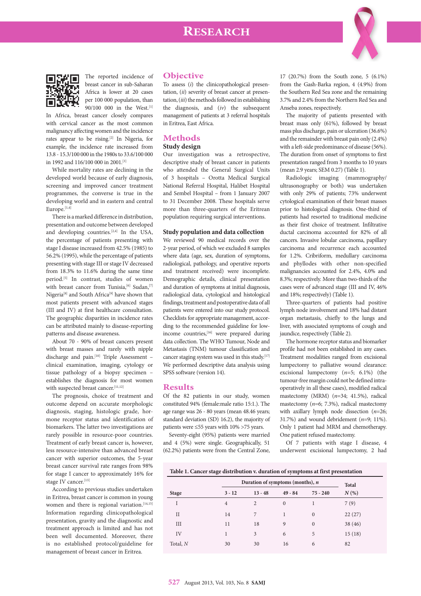# **RESEARCH**





The reported incidence of breast cancer in sub-Saharan Africa is lower at 20 cases per 100 000 population, than 90/100 000 in the West.[1]

In Africa, breast cancer closely compares with cervical cancer as the most common malignancy affecting women and the incidence rates appear to be rising.<sup>[2]</sup> In Nigeria, for example, the incidence rate increased from 13.8 - 15.3/100 000 in the 1980s to 33.6/100 000 in 1992 and 116/100 000 in 2001<sup>[3]</sup>

While mortality rates are declining in the developed world because of early diagnosis, screening and improved cancer treatment programmes, the converse is true in the developing world and in eastern and central Europe.[1,4]

There is a marked difference in distribution, presentation and outcome between developed and developing countries.[2,4] In the USA, the percentage of patients presenting with stage I disease increased from 42.5% (1985) to 56.2% (1995), while the percentage of patients presenting with stage III or stage IV decreased from 18.3% to 11.6% during the same time period.[5] In contrast, studies of women with breast cancer from Tunisia,<sup>[6]</sup> Sudan,<sup>[7]</sup>  $\rm{Nigeria}^{[8]}$  and South Africa $^{[9]}$  have shown that most patients present with advanced stages (III and IV) at first healthcare consultation. The geographic disparities in incidence rates can be attributed mainly to disease-reporting patterns and disease awareness.

About 70 - 90% of breast cancers present with breast masses and rarely with nipple discharge and pain.<sup>[10]</sup> Triple Assessment clinical examination, imaging, cytology or tissue pathology of a biopsy specimen – establishes the diagnosis for most women with suspected breast cancer.[11,12]

The prognosis, choice of treatment and outcome depend on accurate morphologic diagnosis, staging, histologic grade, hormone receptor status and identification of biomarkers. The latter two investigations are rarely possible in resource-poor countries. Treatment of early breast cancer is, however, less resource-intensive than advanced breast cancer with superior outcomes, the 5-year breast cancer survival rate ranges from 98% for stage I cancer to approximately 16% for stage IV cancer.[13]

According to previous studies undertaken in Eritrea, breast cancer is common in young women and there is regional variation.<sup>[14,15]</sup> Information regarding clinicopathological presentation, gravity and the diagnostic and treatment approach is limited and has not been well documented. Moreover, there is no established protocol/guideline for management of breast cancer in Eritrea.

### **Objective**

To assess (*i*) the clinicopathological presentation, (*ii*) severity of breast cancer at presentation, (*iii*) the methods followed in establishing the diagnosis, and (*iv*) the subsequent management of patients at 3 referral hospitals in Eritrea, East Africa.

# **Methods**

# **Study design**

Our investigation was a retrospective, descriptive study of breast cancer in patients who attended the General Surgical Units of 3 hospitals – Orotta Medical Surgical National Referral Hospital, Halibet Hospital and Sembel Hospital – from 1 January 2007 to 31 December 2008. These hospitals serve more than three-quarters of the Eritrean population requiring surgical interventions.

#### **Study population and data collection**

We reviewed 90 medical records over the 2-year period, of which we excluded 8 samples where data (age, sex, duration of symptoms, radiological, pathology, and operative reports and treatment received) were incomplete. Demographic details, clinical presentation and duration of symptoms at initial diagnosis, radiological data, cytological and histological findings, treatment and postoperative data of all patients were entered into our study protocol. Checklists for appropriate management, according to the recommended guideline for lowincome countries,<sup>[16]</sup> were prepared during data collection. The WHO Tumour, Node and Metastasis (TNM) tumour classification and cancer staging system was used in this study.<sup>[17]</sup> We performed descriptive data analysis using SPSS software (version 14).

# **Results**

Of the 82 patients in our study, women constituted 94% (female:male ratio 15:1.). The age range was 26 - 80 years (mean 48.46 years; standard deviation (SD) 16.2), the majority of patients were ≤55 years with 10% >75 years.

Seventy-eight (95%) patients were married and 4 (5%) were single. Geographically, 51 (62.2%) patients were from the Central Zone,

17 (20.7%) from the South zone, 5 (6.1%) from the Gash-Barka region, 4 (4.9%) from the Southern Red Sea zone and the remaining 3.7% and 2.4% from the Northern Red Sea and Anseba zones, respectively.

The majority of patients presented with breast mass only (61%), followed by breast mass plus discharge, pain or ulceration (36.6%) and the remainder with breast pain only (2.4%) with a left-side predominance of disease (56%). The duration from onset of symptoms to first presentation ranged from 3 months to 10 years (mean 2.9 years; SEM 0.27) (Table 1).

Radiologic imaging (mammography/ ultrasonography or both) was undertaken with only 29% of patients; 73% underwent cytological examination of their breast masses prior to histological diagnosis. One-third of patients had resorted to traditional medicine as their first choice of treatment. Infiltrative ductal carcinoma accounted for 82% of all cancers. Invasive lobular carcinoma, papillary carcinoma and recurrence each accounted for 1.2%. Cribriform, medullary carcinoma and phyllodes with other non-specified malignancies accounted for 2.4%, 4.0% and 8.3%; respectively. More than two-thirds of the cases were of advanced stage (III and IV, 46% and 18%; respectively) (Table 1).

Three-quarters of patients had positive lymph node involvement and 18% had distant organ metastasis, chiefly to the lungs and liver, with associated symptoms of cough and jaundice, respectively (Table 2).

The hormone receptor status and biomarker profile had not been established in any cases. Treatment modalities ranged from excisional lumpectomy to palliative wound clearance: excisional lumpectomy (*n*=5; 6.1%) (the tumour-free margin could not be defined intraoperatively in all these cases), modified radical mastectomy (MRM) (*n*=34; 41.5%), radical mastectomy (*n*=6; 7.3%), radical mastectomy with axillary lymph node dissection (*n*=26; 31.7%) and wound debridement (*n*=9; 11%). Only 1 patient had MRM and chemotherapy. One patient refused mastectomy.

Of 7 patients with stage I disease, 4 underwent excisional lumpectomy, 2 had

|  | Table 1. Cancer stage distribution v. duration of symptoms at first presentation |
|--|----------------------------------------------------------------------------------|
|  |                                                                                  |

|              |          | Duration of symptoms (months), $n$ | <b>Total</b> |                |         |
|--------------|----------|------------------------------------|--------------|----------------|---------|
| <b>Stage</b> | $3 - 12$ | $13 - 48$                          | $49 - 84$    | $75 - 240$     | $N(\%)$ |
|              | 4        | 2                                  | $\mathbf{0}$ |                | 7(9)    |
| $_{\rm II}$  | 14       | 7                                  |              | $\overline{0}$ | 22(27)  |
| Ш            | 11       | 18                                 | 9            | $\overline{0}$ | 38 (46) |
| IV           |          | 3                                  | 6            | 5              | 15(18)  |
| Total, N     | 30       | 30                                 | 16           | 6              | 82      |